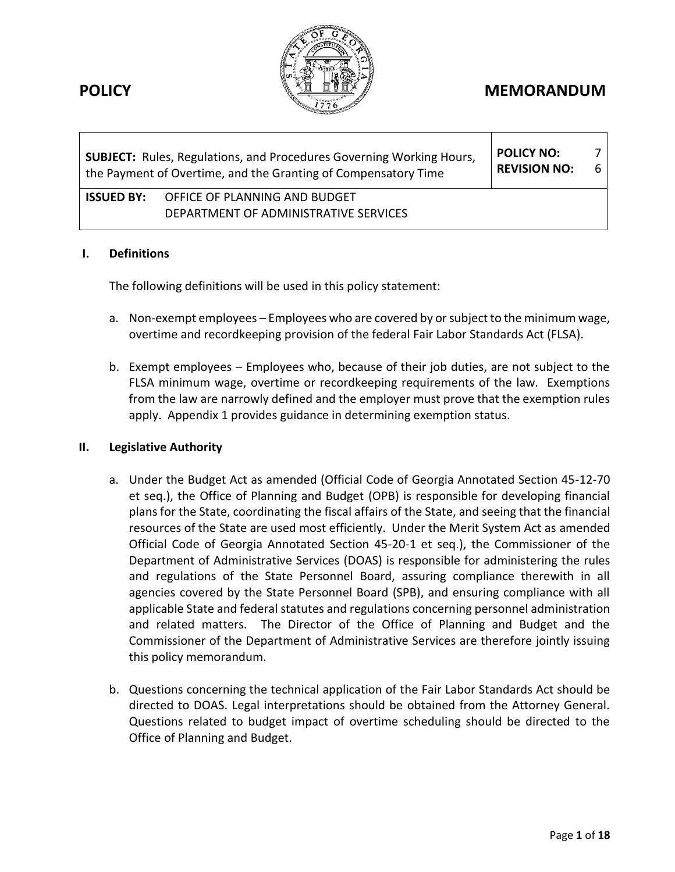

# **POLICY MEMORANDUM**

| <b>SUBJECT:</b> Rules, Regulations, and Procedures Governing Working Hours,<br>the Payment of Overtime, and the Granting of Compensatory Time | <b>POLICY NO:</b><br><b>REVISION NO:</b>                               | 6 I |  |
|-----------------------------------------------------------------------------------------------------------------------------------------------|------------------------------------------------------------------------|-----|--|
| ISSUED BY:                                                                                                                                    | OFFICE OF PLANNING AND BUDGET<br>DEPARTMENT OF ADMINISTRATIVE SERVICES |     |  |

#### **I. Definitions**

The following definitions will be used in this policy statement:

- a. Non-exempt employees Employees who are covered by or subject to the minimum wage, overtime and recordkeeping provision of the federal Fair Labor Standards Act (FLSA).
- b. Exempt employees Employees who, because of their job duties, are not subject to the FLSA minimum wage, overtime or recordkeeping requirements of the law. Exemptions from the law are narrowly defined and the employer must prove that the exemption rules apply. Appendix 1 provides guidance in determining exemption status.

#### **II. Legislative Authority**

- a. Under the Budget Act as amended (Official Code of Georgia Annotated Section 45-12-70 et seq.), the Office of Planning and Budget (OPB) is responsible for developing financial plans for the State, coordinating the fiscal affairs of the State, and seeing that the financial resources of the State are used most efficiently. Under the Merit System Act as amended Official Code of Georgia Annotated Section 45-20-1 et seq.), the Commissioner of the Department of Administrative Services (DOAS) is responsible for administering the rules and regulations of the State Personnel Board, assuring compliance therewith in all agencies covered by the State Personnel Board (SPB), and ensuring compliance with all applicable State and federal statutes and regulations concerning personnel administration and related matters. The Director of the Office of Planning and Budget and the Commissioner of the Department of Administrative Services are therefore jointly issuing this policy memorandum.
- b. Questions concerning the technical application of the Fair Labor Standards Act should be directed to DOAS. Legal interpretations should be obtained from the Attorney General. Questions related to budget impact of overtime scheduling should be directed to the Office of Planning and Budget.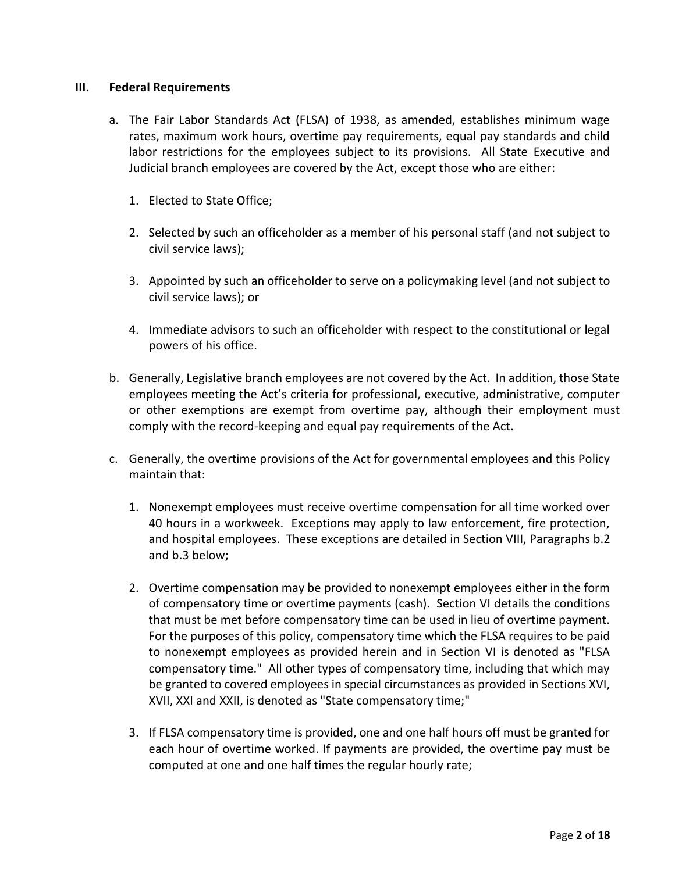#### **III. Federal Requirements**

- a. The Fair Labor Standards Act (FLSA) of 1938, as amended, establishes minimum wage rates, maximum work hours, overtime pay requirements, equal pay standards and child labor restrictions for the employees subject to its provisions. All State Executive and Judicial branch employees are covered by the Act, except those who are either:
	- 1. Elected to State Office;
	- 2. Selected by such an officeholder as a member of his personal staff (and not subject to civil service laws);
	- 3. Appointed by such an officeholder to serve on a policymaking level (and not subject to civil service laws); or
	- 4. Immediate advisors to such an officeholder with respect to the constitutional or legal powers of his office.
- b. Generally, Legislative branch employees are not covered by the Act. In addition, those State employees meeting the Act's criteria for professional, executive, administrative, computer or other exemptions are exempt from overtime pay, although their employment must comply with the record-keeping and equal pay requirements of the Act.
- c. Generally, the overtime provisions of the Act for governmental employees and this Policy maintain that:
	- 1. Nonexempt employees must receive overtime compensation for all time worked over 40 hours in a workweek. Exceptions may apply to law enforcement, fire protection, and hospital employees. These exceptions are detailed in Section VIII, Paragraphs b.2 and b.3 below;
	- 2. Overtime compensation may be provided to nonexempt employees either in the form of compensatory time or overtime payments (cash). Section VI details the conditions that must be met before compensatory time can be used in lieu of overtime payment. For the purposes of this policy, compensatory time which the FLSA requires to be paid to nonexempt employees as provided herein and in Section VI is denoted as "FLSA compensatory time." All other types of compensatory time, including that which may be granted to covered employees in special circumstances as provided in Sections XVI, XVII, XXI and XXII, is denoted as "State compensatory time;"
	- 3. If FLSA compensatory time is provided, one and one half hours off must be granted for each hour of overtime worked. If payments are provided, the overtime pay must be computed at one and one half times the regular hourly rate;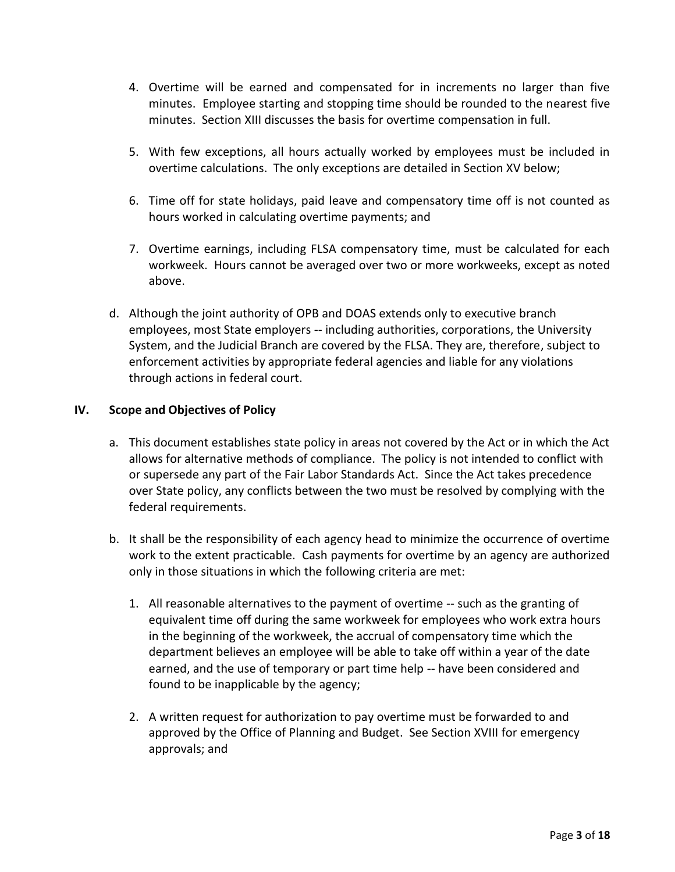- 4. Overtime will be earned and compensated for in increments no larger than five minutes. Employee starting and stopping time should be rounded to the nearest five minutes. Section XIII discusses the basis for overtime compensation in full.
- 5. With few exceptions, all hours actually worked by employees must be included in overtime calculations. The only exceptions are detailed in Section XV below;
- 6. Time off for state holidays, paid leave and compensatory time off is not counted as hours worked in calculating overtime payments; and
- 7. Overtime earnings, including FLSA compensatory time, must be calculated for each workweek. Hours cannot be averaged over two or more workweeks, except as noted above.
- d. Although the joint authority of OPB and DOAS extends only to executive branch employees, most State employers -- including authorities, corporations, the University System, and the Judicial Branch are covered by the FLSA. They are, therefore, subject to enforcement activities by appropriate federal agencies and liable for any violations through actions in federal court.

## **IV. Scope and Objectives of Policy**

- a. This document establishes state policy in areas not covered by the Act or in which the Act allows for alternative methods of compliance. The policy is not intended to conflict with or supersede any part of the Fair Labor Standards Act. Since the Act takes precedence over State policy, any conflicts between the two must be resolved by complying with the federal requirements.
- b. It shall be the responsibility of each agency head to minimize the occurrence of overtime work to the extent practicable. Cash payments for overtime by an agency are authorized only in those situations in which the following criteria are met:
	- 1. All reasonable alternatives to the payment of overtime -- such as the granting of equivalent time off during the same workweek for employees who work extra hours in the beginning of the workweek, the accrual of compensatory time which the department believes an employee will be able to take off within a year of the date earned, and the use of temporary or part time help -- have been considered and found to be inapplicable by the agency;
	- 2. A written request for authorization to pay overtime must be forwarded to and approved by the Office of Planning and Budget. See Section XVIII for emergency approvals; and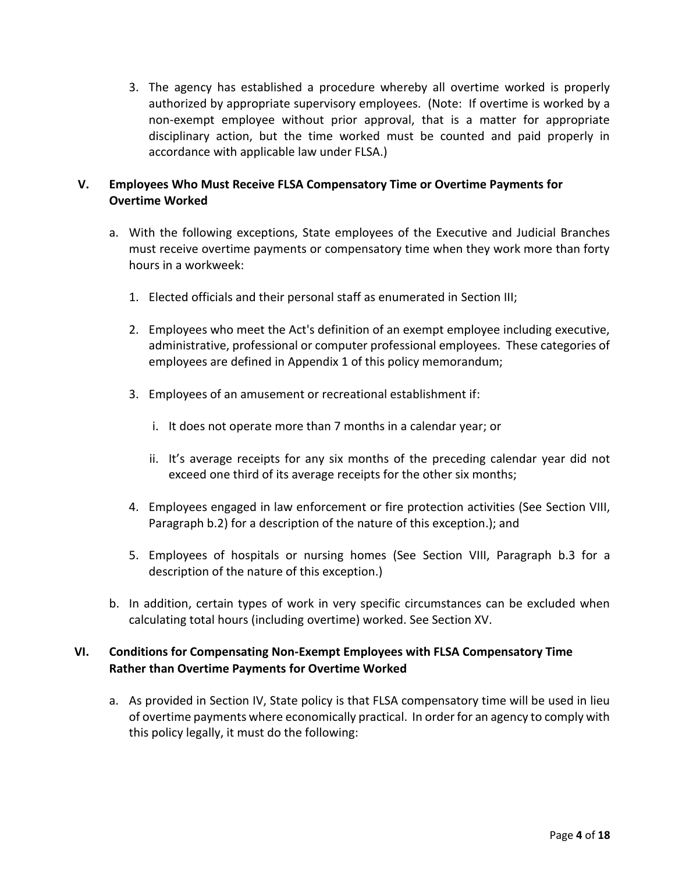3. The agency has established a procedure whereby all overtime worked is properly authorized by appropriate supervisory employees. (Note: If overtime is worked by a non-exempt employee without prior approval, that is a matter for appropriate disciplinary action, but the time worked must be counted and paid properly in accordance with applicable law under FLSA.)

## **V. Employees Who Must Receive FLSA Compensatory Time or Overtime Payments for Overtime Worked**

- a. With the following exceptions, State employees of the Executive and Judicial Branches must receive overtime payments or compensatory time when they work more than forty hours in a workweek:
	- 1. Elected officials and their personal staff as enumerated in Section III;
	- 2. Employees who meet the Act's definition of an exempt employee including executive, administrative, professional or computer professional employees. These categories of employees are defined in Appendix 1 of this policy memorandum;
	- 3. Employees of an amusement or recreational establishment if:
		- i. It does not operate more than 7 months in a calendar year; or
		- ii. It's average receipts for any six months of the preceding calendar year did not exceed one third of its average receipts for the other six months;
	- 4. Employees engaged in law enforcement or fire protection activities (See Section VIII, Paragraph b.2) for a description of the nature of this exception.); and
	- 5. Employees of hospitals or nursing homes (See Section VIII, Paragraph b.3 for a description of the nature of this exception.)
- b. In addition, certain types of work in very specific circumstances can be excluded when calculating total hours (including overtime) worked. See Section XV.

## **VI. Conditions for Compensating Non-Exempt Employees with FLSA Compensatory Time Rather than Overtime Payments for Overtime Worked**

a. As provided in Section IV, State policy is that FLSA compensatory time will be used in lieu of overtime payments where economically practical. In order for an agency to comply with this policy legally, it must do the following: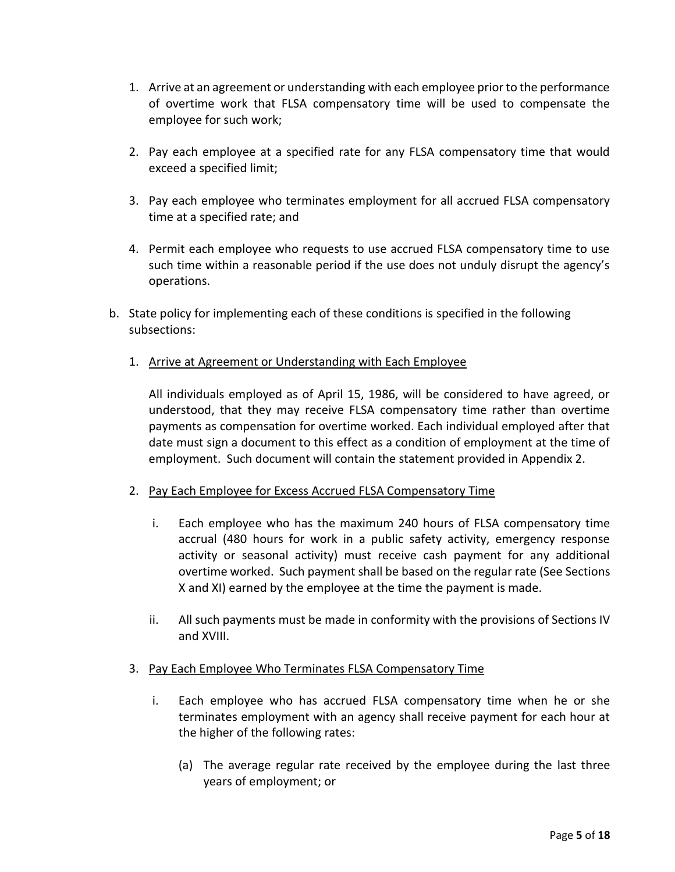- 1. Arrive at an agreement or understanding with each employee prior to the performance of overtime work that FLSA compensatory time will be used to compensate the employee for such work;
- 2. Pay each employee at a specified rate for any FLSA compensatory time that would exceed a specified limit;
- 3. Pay each employee who terminates employment for all accrued FLSA compensatory time at a specified rate; and
- 4. Permit each employee who requests to use accrued FLSA compensatory time to use such time within a reasonable period if the use does not unduly disrupt the agency's operations.
- b. State policy for implementing each of these conditions is specified in the following subsections:
	- 1. Arrive at Agreement or Understanding with Each Employee

All individuals employed as of April 15, 1986, will be considered to have agreed, or understood, that they may receive FLSA compensatory time rather than overtime payments as compensation for overtime worked. Each individual employed after that date must sign a document to this effect as a condition of employment at the time of employment. Such document will contain the statement provided in Appendix 2.

## 2. Pay Each Employee for Excess Accrued FLSA Compensatory Time

- i. Each employee who has the maximum 240 hours of FLSA compensatory time accrual (480 hours for work in a public safety activity, emergency response activity or seasonal activity) must receive cash payment for any additional overtime worked. Such payment shall be based on the regular rate (See Sections X and XI) earned by the employee at the time the payment is made.
- ii. All such payments must be made in conformity with the provisions of Sections IV and XVIII.

## 3. Pay Each Employee Who Terminates FLSA Compensatory Time

- i. Each employee who has accrued FLSA compensatory time when he or she terminates employment with an agency shall receive payment for each hour at the higher of the following rates:
	- (a) The average regular rate received by the employee during the last three years of employment; or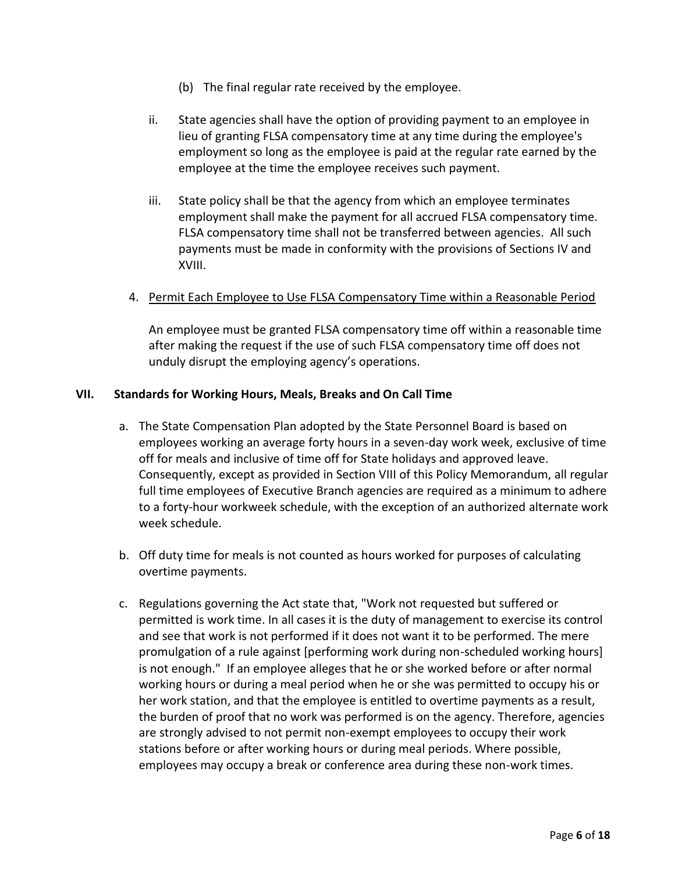- (b) The final regular rate received by the employee.
- ii. State agencies shall have the option of providing payment to an employee in lieu of granting FLSA compensatory time at any time during the employee's employment so long as the employee is paid at the regular rate earned by the employee at the time the employee receives such payment.
- iii. State policy shall be that the agency from which an employee terminates employment shall make the payment for all accrued FLSA compensatory time. FLSA compensatory time shall not be transferred between agencies. All such payments must be made in conformity with the provisions of Sections IV and XVIII.

#### 4. Permit Each Employee to Use FLSA Compensatory Time within a Reasonable Period

An employee must be granted FLSA compensatory time off within a reasonable time after making the request if the use of such FLSA compensatory time off does not unduly disrupt the employing agency's operations.

#### **VII. Standards for Working Hours, Meals, Breaks and On Call Time**

- a. The State Compensation Plan adopted by the State Personnel Board is based on employees working an average forty hours in a seven-day work week, exclusive of time off for meals and inclusive of time off for State holidays and approved leave. Consequently, except as provided in Section VIII of this Policy Memorandum, all regular full time employees of Executive Branch agencies are required as a minimum to adhere to a forty-hour workweek schedule, with the exception of an authorized alternate work week schedule.
- b. Off duty time for meals is not counted as hours worked for purposes of calculating overtime payments.
- c. Regulations governing the Act state that, "Work not requested but suffered or permitted is work time. In all cases it is the duty of management to exercise its control and see that work is not performed if it does not want it to be performed. The mere promulgation of a rule against [performing work during non-scheduled working hours] is not enough." If an employee alleges that he or she worked before or after normal working hours or during a meal period when he or she was permitted to occupy his or her work station, and that the employee is entitled to overtime payments as a result, the burden of proof that no work was performed is on the agency. Therefore, agencies are strongly advised to not permit non-exempt employees to occupy their work stations before or after working hours or during meal periods. Where possible, employees may occupy a break or conference area during these non-work times.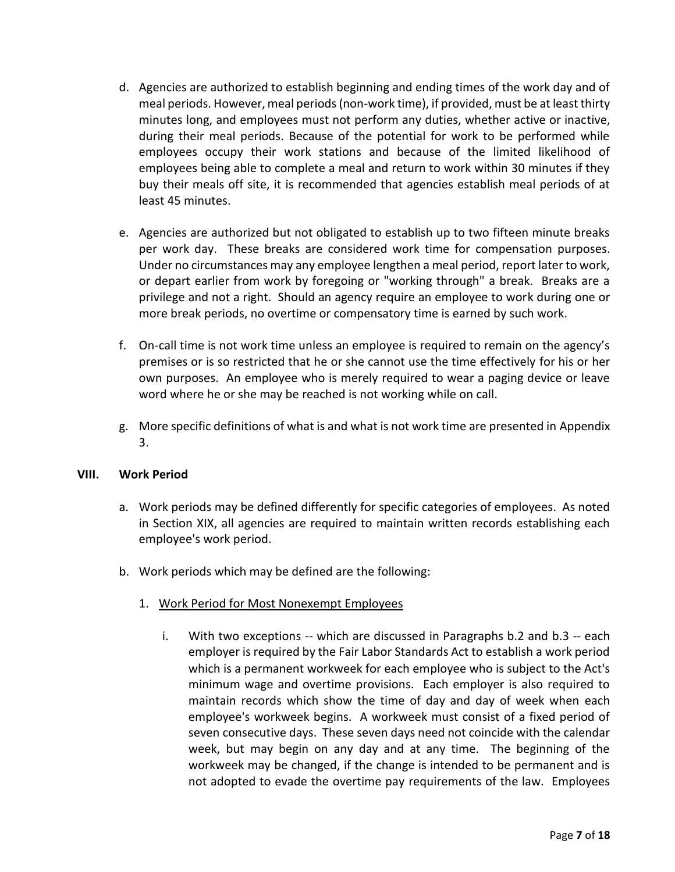- d. Agencies are authorized to establish beginning and ending times of the work day and of meal periods. However, meal periods (non-work time), if provided, must be at least thirty minutes long, and employees must not perform any duties, whether active or inactive, during their meal periods. Because of the potential for work to be performed while employees occupy their work stations and because of the limited likelihood of employees being able to complete a meal and return to work within 30 minutes if they buy their meals off site, it is recommended that agencies establish meal periods of at least 45 minutes.
- e. Agencies are authorized but not obligated to establish up to two fifteen minute breaks per work day. These breaks are considered work time for compensation purposes. Under no circumstances may any employee lengthen a meal period, report later to work, or depart earlier from work by foregoing or "working through" a break. Breaks are a privilege and not a right. Should an agency require an employee to work during one or more break periods, no overtime or compensatory time is earned by such work.
- f. On-call time is not work time unless an employee is required to remain on the agency's premises or is so restricted that he or she cannot use the time effectively for his or her own purposes. An employee who is merely required to wear a paging device or leave word where he or she may be reached is not working while on call.
- g. More specific definitions of what is and what is not work time are presented in Appendix 3.

#### **VIII. Work Period**

- a. Work periods may be defined differently for specific categories of employees. As noted in Section XIX, all agencies are required to maintain written records establishing each employee's work period.
- b. Work periods which may be defined are the following:
	- 1. Work Period for Most Nonexempt Employees
		- i. With two exceptions -- which are discussed in Paragraphs b.2 and b.3 -- each employer is required by the Fair Labor Standards Act to establish a work period which is a permanent workweek for each employee who is subject to the Act's minimum wage and overtime provisions. Each employer is also required to maintain records which show the time of day and day of week when each employee's workweek begins. A workweek must consist of a fixed period of seven consecutive days. These seven days need not coincide with the calendar week, but may begin on any day and at any time. The beginning of the workweek may be changed, if the change is intended to be permanent and is not adopted to evade the overtime pay requirements of the law. Employees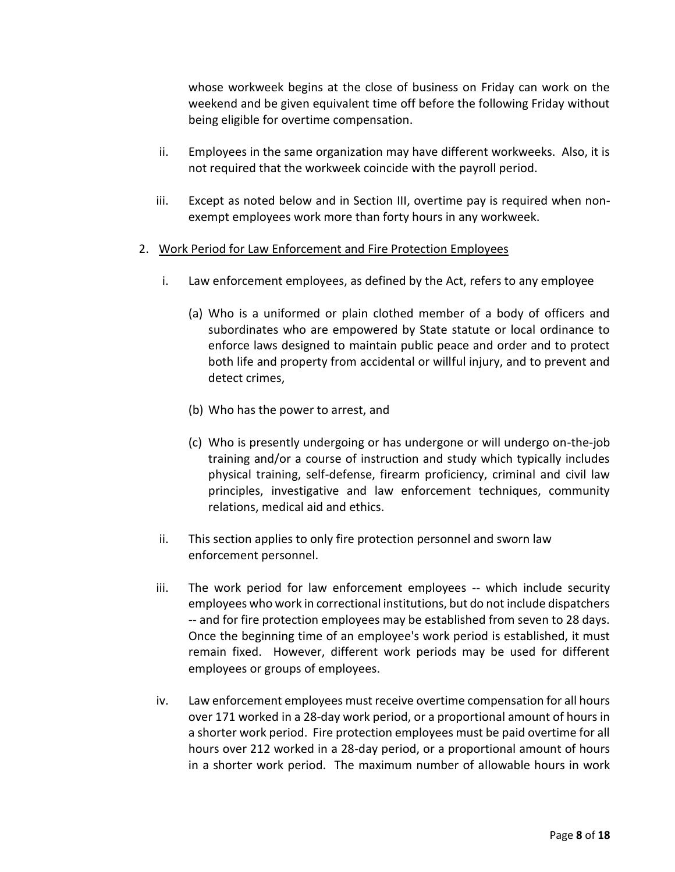whose workweek begins at the close of business on Friday can work on the weekend and be given equivalent time off before the following Friday without being eligible for overtime compensation.

- ii. Employees in the same organization may have different workweeks. Also, it is not required that the workweek coincide with the payroll period.
- iii. Except as noted below and in Section III, overtime pay is required when nonexempt employees work more than forty hours in any workweek.
- 2. Work Period for Law Enforcement and Fire Protection Employees
	- i. Law enforcement employees, as defined by the Act, refers to any employee
		- (a) Who is a uniformed or plain clothed member of a body of officers and subordinates who are empowered by State statute or local ordinance to enforce laws designed to maintain public peace and order and to protect both life and property from accidental or willful injury, and to prevent and detect crimes,
		- (b) Who has the power to arrest, and
		- (c) Who is presently undergoing or has undergone or will undergo on-the-job training and/or a course of instruction and study which typically includes physical training, self-defense, firearm proficiency, criminal and civil law principles, investigative and law enforcement techniques, community relations, medical aid and ethics.
	- ii. This section applies to only fire protection personnel and sworn law enforcement personnel.
	- iii. The work period for law enforcement employees -- which include security employees who work in correctional institutions, but do not include dispatchers -- and for fire protection employees may be established from seven to 28 days. Once the beginning time of an employee's work period is established, it must remain fixed. However, different work periods may be used for different employees or groups of employees.
	- iv. Law enforcement employees must receive overtime compensation for all hours over 171 worked in a 28-day work period, or a proportional amount of hours in a shorter work period. Fire protection employees must be paid overtime for all hours over 212 worked in a 28-day period, or a proportional amount of hours in a shorter work period. The maximum number of allowable hours in work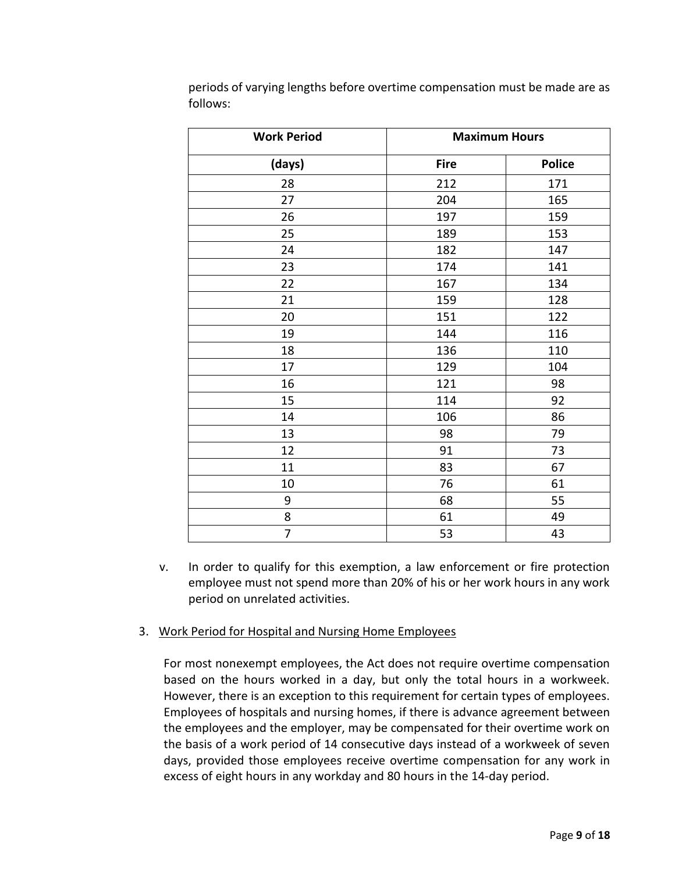| <b>Work Period</b> | <b>Maximum Hours</b> |               |  |  |
|--------------------|----------------------|---------------|--|--|
| (days)             | <b>Fire</b>          | <b>Police</b> |  |  |
| 28                 | 212                  | 171           |  |  |
| 27                 | 204                  | 165           |  |  |
| 26                 | 197                  | 159           |  |  |
| 25                 | 189                  | 153           |  |  |
| 24                 | 182                  | 147           |  |  |
| 23                 | 174                  | 141           |  |  |
| 22                 | 167                  | 134           |  |  |
| 21                 | 159                  | 128           |  |  |
| 20                 | 151                  | 122           |  |  |
| 19                 | 144                  | 116           |  |  |
| 18                 | 136                  | 110           |  |  |
| 17                 | 129                  | 104           |  |  |
| 16                 | 121                  | 98            |  |  |
| 15                 | 114                  | 92            |  |  |
| 14                 | 106                  | 86            |  |  |
| 13                 | 98                   | 79            |  |  |
| 12                 | 91                   | 73            |  |  |
| 11                 | 83                   | 67            |  |  |
| 10                 | 76                   | 61            |  |  |
| 9                  | 68                   | 55            |  |  |
| 8                  | 61                   | 49            |  |  |
| 7                  | 53                   | 43            |  |  |

periods of varying lengths before overtime compensation must be made are as follows:

v. In order to qualify for this exemption, a law enforcement or fire protection employee must not spend more than 20% of his or her work hours in any work period on unrelated activities.

#### 3. Work Period for Hospital and Nursing Home Employees

For most nonexempt employees, the Act does not require overtime compensation based on the hours worked in a day, but only the total hours in a workweek. However, there is an exception to this requirement for certain types of employees. Employees of hospitals and nursing homes, if there is advance agreement between the employees and the employer, may be compensated for their overtime work on the basis of a work period of 14 consecutive days instead of a workweek of seven days, provided those employees receive overtime compensation for any work in excess of eight hours in any workday and 80 hours in the 14-day period.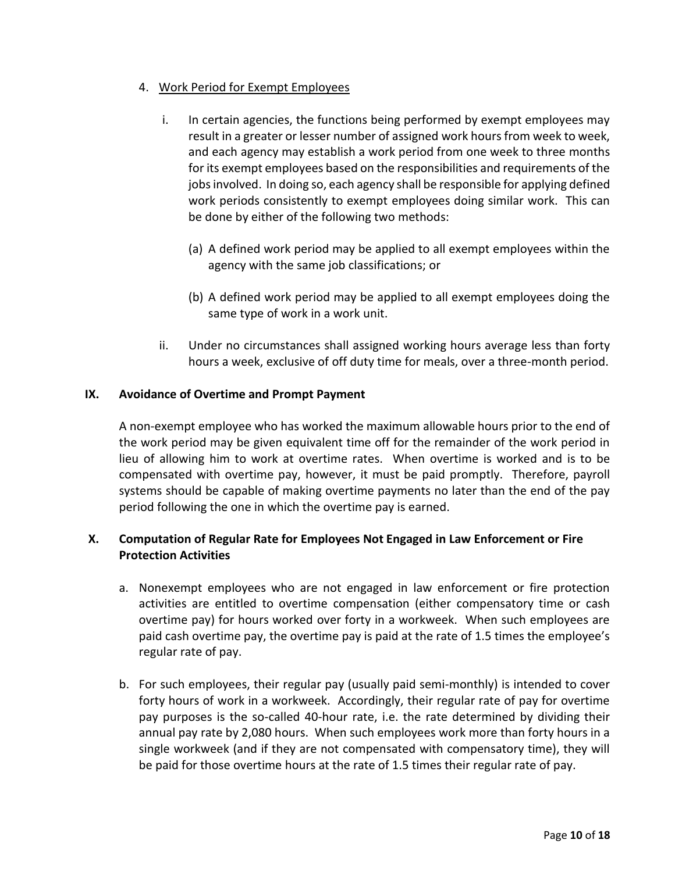## 4. Work Period for Exempt Employees

- i. In certain agencies, the functions being performed by exempt employees may result in a greater or lesser number of assigned work hours from week to week, and each agency may establish a work period from one week to three months for its exempt employees based on the responsibilities and requirements of the jobs involved. In doing so, each agency shall be responsible for applying defined work periods consistently to exempt employees doing similar work. This can be done by either of the following two methods:
	- (a) A defined work period may be applied to all exempt employees within the agency with the same job classifications; or
	- (b) A defined work period may be applied to all exempt employees doing the same type of work in a work unit.
- ii. Under no circumstances shall assigned working hours average less than forty hours a week, exclusive of off duty time for meals, over a three-month period.

#### **IX. Avoidance of Overtime and Prompt Payment**

A non-exempt employee who has worked the maximum allowable hours prior to the end of the work period may be given equivalent time off for the remainder of the work period in lieu of allowing him to work at overtime rates. When overtime is worked and is to be compensated with overtime pay, however, it must be paid promptly. Therefore, payroll systems should be capable of making overtime payments no later than the end of the pay period following the one in which the overtime pay is earned.

## **X. Computation of Regular Rate for Employees Not Engaged in Law Enforcement or Fire Protection Activities**

- a. Nonexempt employees who are not engaged in law enforcement or fire protection activities are entitled to overtime compensation (either compensatory time or cash overtime pay) for hours worked over forty in a workweek. When such employees are paid cash overtime pay, the overtime pay is paid at the rate of 1.5 times the employee's regular rate of pay.
- b. For such employees, their regular pay (usually paid semi-monthly) is intended to cover forty hours of work in a workweek. Accordingly, their regular rate of pay for overtime pay purposes is the so-called 40-hour rate, i.e. the rate determined by dividing their annual pay rate by 2,080 hours. When such employees work more than forty hours in a single workweek (and if they are not compensated with compensatory time), they will be paid for those overtime hours at the rate of 1.5 times their regular rate of pay.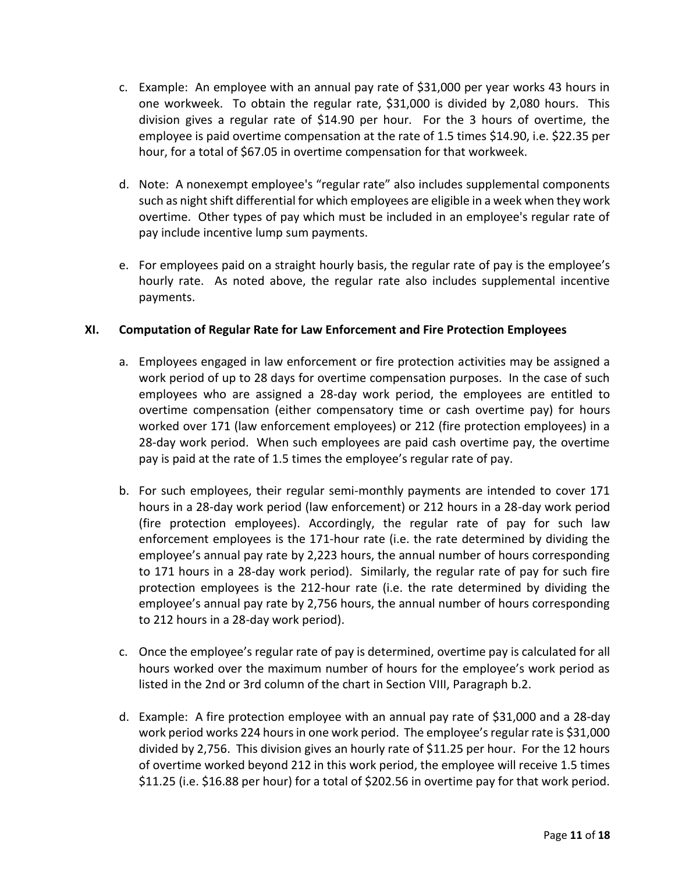- c. Example: An employee with an annual pay rate of \$31,000 per year works 43 hours in one workweek. To obtain the regular rate, \$31,000 is divided by 2,080 hours. This division gives a regular rate of \$14.90 per hour. For the 3 hours of overtime, the employee is paid overtime compensation at the rate of 1.5 times \$14.90, i.e. \$22.35 per hour, for a total of \$67.05 in overtime compensation for that workweek.
- d. Note: A nonexempt employee's "regular rate" also includes supplemental components such as night shift differential for which employees are eligible in a week when they work overtime. Other types of pay which must be included in an employee's regular rate of pay include incentive lump sum payments.
- e. For employees paid on a straight hourly basis, the regular rate of pay is the employee's hourly rate. As noted above, the regular rate also includes supplemental incentive payments.

#### **XI. Computation of Regular Rate for Law Enforcement and Fire Protection Employees**

- a. Employees engaged in law enforcement or fire protection activities may be assigned a work period of up to 28 days for overtime compensation purposes. In the case of such employees who are assigned a 28-day work period, the employees are entitled to overtime compensation (either compensatory time or cash overtime pay) for hours worked over 171 (law enforcement employees) or 212 (fire protection employees) in a 28-day work period. When such employees are paid cash overtime pay, the overtime pay is paid at the rate of 1.5 times the employee's regular rate of pay.
- b. For such employees, their regular semi-monthly payments are intended to cover 171 hours in a 28-day work period (law enforcement) or 212 hours in a 28-day work period (fire protection employees). Accordingly, the regular rate of pay for such law enforcement employees is the 171-hour rate (i.e. the rate determined by dividing the employee's annual pay rate by 2,223 hours, the annual number of hours corresponding to 171 hours in a 28-day work period). Similarly, the regular rate of pay for such fire protection employees is the 212-hour rate (i.e. the rate determined by dividing the employee's annual pay rate by 2,756 hours, the annual number of hours corresponding to 212 hours in a 28-day work period).
- c. Once the employee's regular rate of pay is determined, overtime pay is calculated for all hours worked over the maximum number of hours for the employee's work period as listed in the 2nd or 3rd column of the chart in Section VIII, Paragraph b.2.
- d. Example: A fire protection employee with an annual pay rate of \$31,000 and a 28-day work period works 224 hours in one work period. The employee's regular rate is \$31,000 divided by 2,756. This division gives an hourly rate of \$11.25 per hour. For the 12 hours of overtime worked beyond 212 in this work period, the employee will receive 1.5 times \$11.25 (i.e. \$16.88 per hour) for a total of \$202.56 in overtime pay for that work period.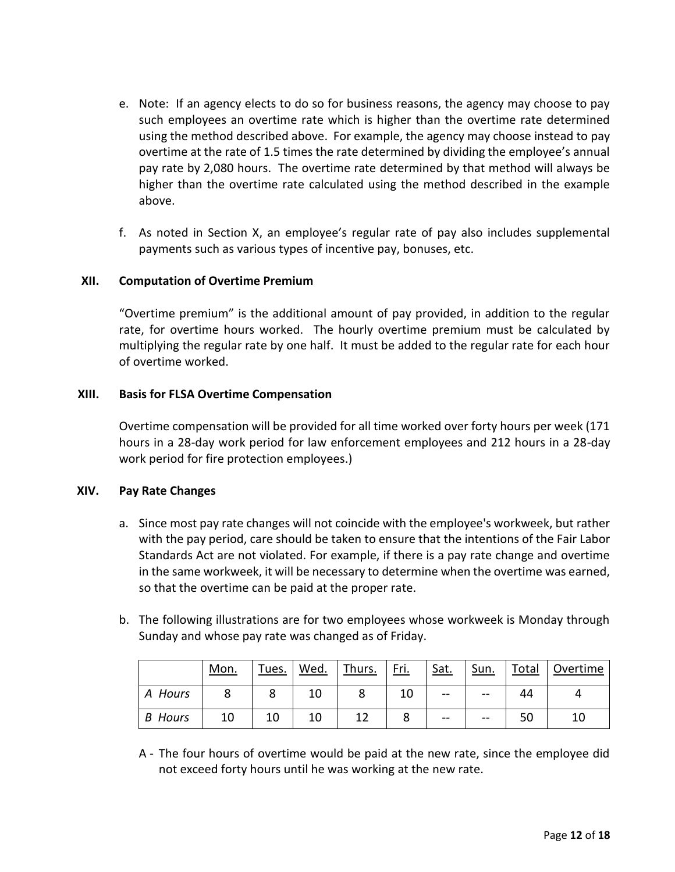- e. Note: If an agency elects to do so for business reasons, the agency may choose to pay such employees an overtime rate which is higher than the overtime rate determined using the method described above. For example, the agency may choose instead to pay overtime at the rate of 1.5 times the rate determined by dividing the employee's annual pay rate by 2,080 hours. The overtime rate determined by that method will always be higher than the overtime rate calculated using the method described in the example above.
- f. As noted in Section X, an employee's regular rate of pay also includes supplemental payments such as various types of incentive pay, bonuses, etc.

#### **XII. Computation of Overtime Premium**

"Overtime premium" is the additional amount of pay provided, in addition to the regular rate, for overtime hours worked. The hourly overtime premium must be calculated by multiplying the regular rate by one half. It must be added to the regular rate for each hour of overtime worked.

#### **XIII. Basis for FLSA Overtime Compensation**

Overtime compensation will be provided for all time worked over forty hours per week (171 hours in a 28-day work period for law enforcement employees and 212 hours in a 28-day work period for fire protection employees.)

#### **XIV. Pay Rate Changes**

- a. Since most pay rate changes will not coincide with the employee's workweek, but rather with the pay period, care should be taken to ensure that the intentions of the Fair Labor Standards Act are not violated. For example, if there is a pay rate change and overtime in the same workweek, it will be necessary to determine when the overtime was earned, so that the overtime can be paid at the proper rate.
- b. The following illustrations are for two employees whose workweek is Monday through Sunday and whose pay rate was changed as of Friday.

|                | <u>Mon.</u> | Tues. | Wed. | Thurs. | <u>Fri.</u> | Sat.  | Sun.  | Total | Overtime |
|----------------|-------------|-------|------|--------|-------------|-------|-------|-------|----------|
| Hours<br>A     | О           |       | 10   |        | 10<br>τn    | $- -$ | --    | 44    |          |
| <b>B</b> Hours | 10          | 10    | 10   |        |             | $- -$ | $- -$ | 50    | 10       |

A - The four hours of overtime would be paid at the new rate, since the employee did not exceed forty hours until he was working at the new rate.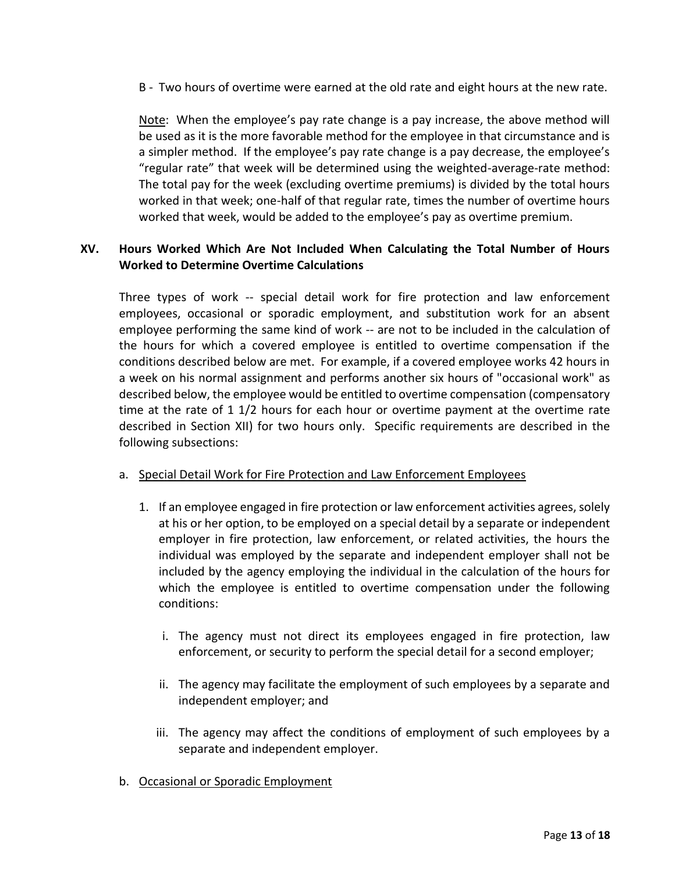B - Two hours of overtime were earned at the old rate and eight hours at the new rate.

Note: When the employee's pay rate change is a pay increase, the above method will be used as it is the more favorable method for the employee in that circumstance and is a simpler method. If the employee's pay rate change is a pay decrease, the employee's "regular rate" that week will be determined using the weighted-average-rate method: The total pay for the week (excluding overtime premiums) is divided by the total hours worked in that week; one-half of that regular rate, times the number of overtime hours worked that week, would be added to the employee's pay as overtime premium.

## **XV. Hours Worked Which Are Not Included When Calculating the Total Number of Hours Worked to Determine Overtime Calculations**

Three types of work -- special detail work for fire protection and law enforcement employees, occasional or sporadic employment, and substitution work for an absent employee performing the same kind of work -- are not to be included in the calculation of the hours for which a covered employee is entitled to overtime compensation if the conditions described below are met. For example, if a covered employee works 42 hours in a week on his normal assignment and performs another six hours of "occasional work" as described below, the employee would be entitled to overtime compensation (compensatory time at the rate of 1 1/2 hours for each hour or overtime payment at the overtime rate described in Section XII) for two hours only. Specific requirements are described in the following subsections:

#### a. Special Detail Work for Fire Protection and Law Enforcement Employees

- 1. If an employee engaged in fire protection or law enforcement activities agrees, solely at his or her option, to be employed on a special detail by a separate or independent employer in fire protection, law enforcement, or related activities, the hours the individual was employed by the separate and independent employer shall not be included by the agency employing the individual in the calculation of the hours for which the employee is entitled to overtime compensation under the following conditions:
	- i. The agency must not direct its employees engaged in fire protection, law enforcement, or security to perform the special detail for a second employer;
	- ii. The agency may facilitate the employment of such employees by a separate and independent employer; and
	- iii. The agency may affect the conditions of employment of such employees by a separate and independent employer.
- b. Occasional or Sporadic Employment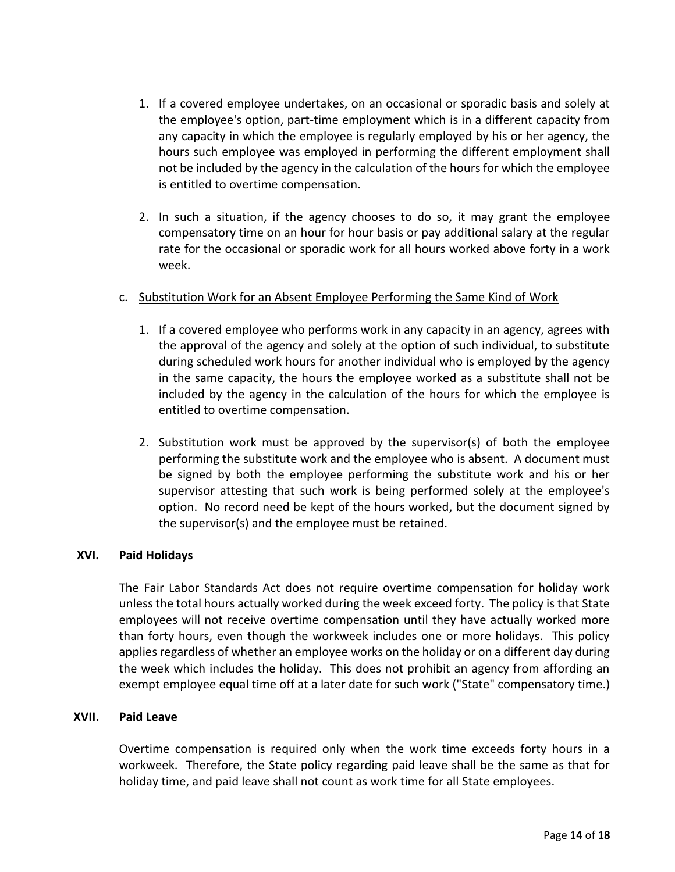- 1. If a covered employee undertakes, on an occasional or sporadic basis and solely at the employee's option, part-time employment which is in a different capacity from any capacity in which the employee is regularly employed by his or her agency, the hours such employee was employed in performing the different employment shall not be included by the agency in the calculation of the hours for which the employee is entitled to overtime compensation.
- 2. In such a situation, if the agency chooses to do so, it may grant the employee compensatory time on an hour for hour basis or pay additional salary at the regular rate for the occasional or sporadic work for all hours worked above forty in a work week.

## c. Substitution Work for an Absent Employee Performing the Same Kind of Work

- 1. If a covered employee who performs work in any capacity in an agency, agrees with the approval of the agency and solely at the option of such individual, to substitute during scheduled work hours for another individual who is employed by the agency in the same capacity, the hours the employee worked as a substitute shall not be included by the agency in the calculation of the hours for which the employee is entitled to overtime compensation.
- 2. Substitution work must be approved by the supervisor(s) of both the employee performing the substitute work and the employee who is absent. A document must be signed by both the employee performing the substitute work and his or her supervisor attesting that such work is being performed solely at the employee's option. No record need be kept of the hours worked, but the document signed by the supervisor(s) and the employee must be retained.

#### **XVI. Paid Holidays**

The Fair Labor Standards Act does not require overtime compensation for holiday work unless the total hours actually worked during the week exceed forty. The policy is that State employees will not receive overtime compensation until they have actually worked more than forty hours, even though the workweek includes one or more holidays. This policy applies regardless of whether an employee works on the holiday or on a different day during the week which includes the holiday. This does not prohibit an agency from affording an exempt employee equal time off at a later date for such work ("State" compensatory time.)

#### **XVII. Paid Leave**

Overtime compensation is required only when the work time exceeds forty hours in a workweek. Therefore, the State policy regarding paid leave shall be the same as that for holiday time, and paid leave shall not count as work time for all State employees.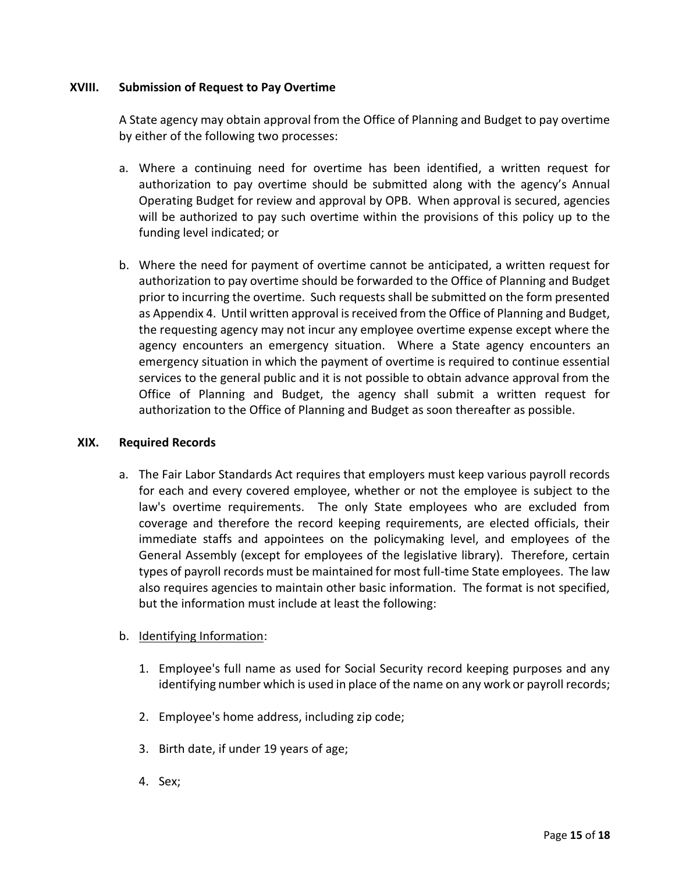### **XVIII. Submission of Request to Pay Overtime**

A State agency may obtain approval from the Office of Planning and Budget to pay overtime by either of the following two processes:

- a. Where a continuing need for overtime has been identified, a written request for authorization to pay overtime should be submitted along with the agency's Annual Operating Budget for review and approval by OPB. When approval is secured, agencies will be authorized to pay such overtime within the provisions of this policy up to the funding level indicated; or
- b. Where the need for payment of overtime cannot be anticipated, a written request for authorization to pay overtime should be forwarded to the Office of Planning and Budget prior to incurring the overtime. Such requests shall be submitted on the form presented as Appendix 4. Until written approval is received from the Office of Planning and Budget, the requesting agency may not incur any employee overtime expense except where the agency encounters an emergency situation. Where a State agency encounters an emergency situation in which the payment of overtime is required to continue essential services to the general public and it is not possible to obtain advance approval from the Office of Planning and Budget, the agency shall submit a written request for authorization to the Office of Planning and Budget as soon thereafter as possible.

#### **XIX. Required Records**

a. The Fair Labor Standards Act requires that employers must keep various payroll records for each and every covered employee, whether or not the employee is subject to the law's overtime requirements. The only State employees who are excluded from coverage and therefore the record keeping requirements, are elected officials, their immediate staffs and appointees on the policymaking level, and employees of the General Assembly (except for employees of the legislative library). Therefore, certain types of payroll records must be maintained for most full-time State employees. The law also requires agencies to maintain other basic information. The format is not specified, but the information must include at least the following:

## b. Identifying Information:

- 1. Employee's full name as used for Social Security record keeping purposes and any identifying number which is used in place of the name on any work or payroll records;
- 2. Employee's home address, including zip code;
- 3. Birth date, if under 19 years of age;
- 4. Sex;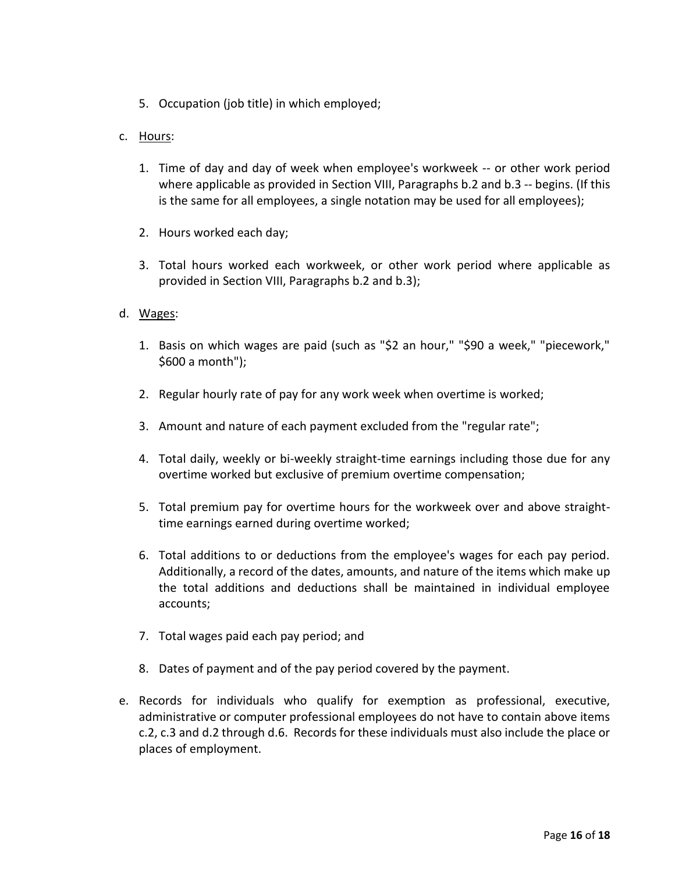5. Occupation (job title) in which employed;

## c. Hours:

- 1. Time of day and day of week when employee's workweek -- or other work period where applicable as provided in Section VIII, Paragraphs b.2 and b.3 -- begins. (If this is the same for all employees, a single notation may be used for all employees);
- 2. Hours worked each day;
- 3. Total hours worked each workweek, or other work period where applicable as provided in Section VIII, Paragraphs b.2 and b.3);

#### d. Wages:

- 1. Basis on which wages are paid (such as "\$2 an hour," "\$90 a week," "piecework," \$600 a month");
- 2. Regular hourly rate of pay for any work week when overtime is worked;
- 3. Amount and nature of each payment excluded from the "regular rate";
- 4. Total daily, weekly or bi-weekly straight-time earnings including those due for any overtime worked but exclusive of premium overtime compensation;
- 5. Total premium pay for overtime hours for the workweek over and above straighttime earnings earned during overtime worked;
- 6. Total additions to or deductions from the employee's wages for each pay period. Additionally, a record of the dates, amounts, and nature of the items which make up the total additions and deductions shall be maintained in individual employee accounts;
- 7. Total wages paid each pay period; and
- 8. Dates of payment and of the pay period covered by the payment.
- e. Records for individuals who qualify for exemption as professional, executive, administrative or computer professional employees do not have to contain above items c.2, c.3 and d.2 through d.6. Records for these individuals must also include the place or places of employment.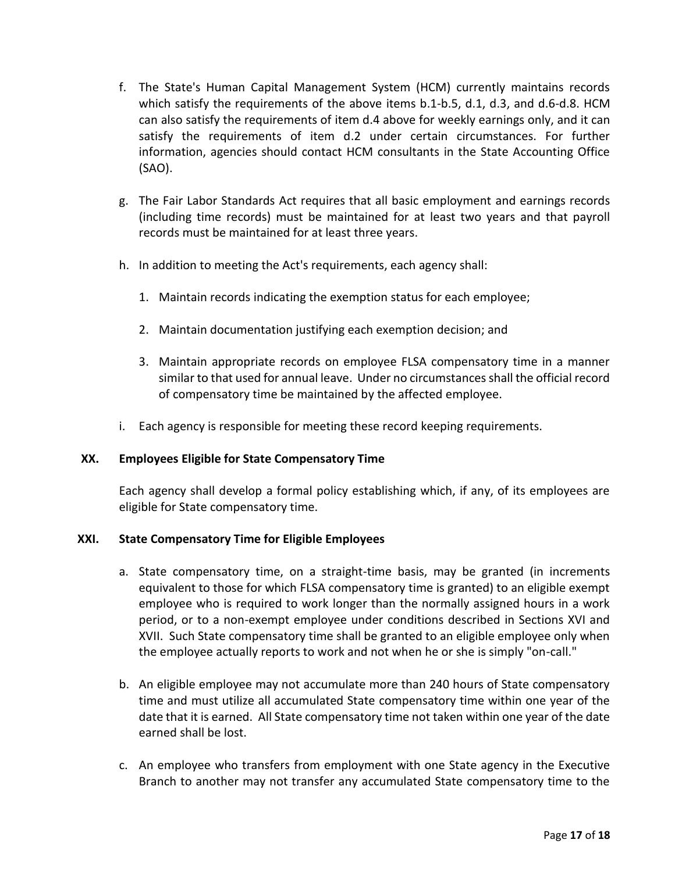- f. The State's Human Capital Management System (HCM) currently maintains records which satisfy the requirements of the above items b.1-b.5, d.1, d.3, and d.6-d.8. HCM can also satisfy the requirements of item d.4 above for weekly earnings only, and it can satisfy the requirements of item d.2 under certain circumstances. For further information, agencies should contact HCM consultants in the State Accounting Office (SAO).
- g. The Fair Labor Standards Act requires that all basic employment and earnings records (including time records) must be maintained for at least two years and that payroll records must be maintained for at least three years.
- h. In addition to meeting the Act's requirements, each agency shall:
	- 1. Maintain records indicating the exemption status for each employee;
	- 2. Maintain documentation justifying each exemption decision; and
	- 3. Maintain appropriate records on employee FLSA compensatory time in a manner similar to that used for annual leave. Under no circumstances shall the official record of compensatory time be maintained by the affected employee.
- i. Each agency is responsible for meeting these record keeping requirements.

#### **XX. Employees Eligible for State Compensatory Time**

Each agency shall develop a formal policy establishing which, if any, of its employees are eligible for State compensatory time.

#### **XXI. State Compensatory Time for Eligible Employees**

- a. State compensatory time, on a straight-time basis, may be granted (in increments equivalent to those for which FLSA compensatory time is granted) to an eligible exempt employee who is required to work longer than the normally assigned hours in a work period, or to a non-exempt employee under conditions described in Sections XVI and XVII. Such State compensatory time shall be granted to an eligible employee only when the employee actually reports to work and not when he or she is simply "on-call."
- b. An eligible employee may not accumulate more than 240 hours of State compensatory time and must utilize all accumulated State compensatory time within one year of the date that it is earned. All State compensatory time not taken within one year of the date earned shall be lost.
- c. An employee who transfers from employment with one State agency in the Executive Branch to another may not transfer any accumulated State compensatory time to the